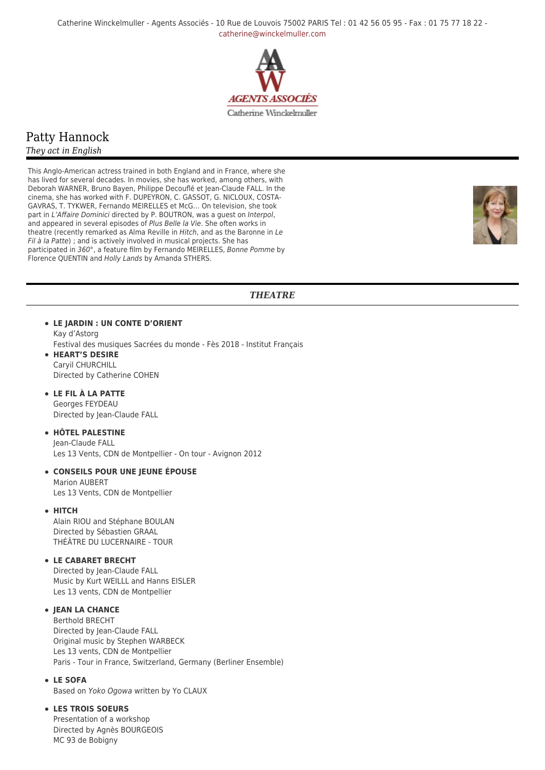Catherine Winckelmuller - Agents Associés - 10 Rue de Louvois 75002 PARIS Tel : 01 42 56 05 95 - Fax : 01 75 77 18 22 [catherine@winckelmuller.com](mailto:catherine@winckelmuller.com)



# Patty Hannock

# *They act in English*

This Anglo-American actress trained in both England and in France, where she has lived for several decades. In movies, she has worked, among others, with Deborah WARNER, Bruno Bayen, Philippe Decouflé et Jean-Claude FALL. In the cinema, she has worked with F. DUPEYRON, C. GASSOT, G. NICLOUX, COSTA-GAVRAS, T. TYKWER, Fernando MEIRELLES et McG… On television, she took part in L'Affaire Dominici directed by P. BOUTRON, was a guest on Interpol, and appeared in several episodes of Plus Belle la Vie. She often works in theatre (recently remarked as Alma Reville in Hitch, and as the Baronne in Le Fil à la Patte) ; and is actively involved in musical projects. She has participated in 360°, a feature film by Fernando MEIRELLES, Bonne Pomme by Florence QUENTIN and Holly Lands by Amanda STHERS.



# *THEATRE*

# **LE JARDIN : UN CONTE D'ORIENT**

Kay d'Astorg Festival des musiques Sacrées du monde - Fès 2018 - Institut Français

**HEART'S DESIRE** Caryil CHURCHILL Directed by Catherine COHEN

### **LE FIL À LA PATTE**

Georges FEYDEAU Directed by Jean-Claude FALL

# **HÔTEL PALESTINE**

Jean-Claude FALL Les 13 Vents, CDN de Montpellier - On tour - Avignon 2012

**CONSEILS POUR UNE JEUNE ÉPOUSE** Marion AUBERT

Les 13 Vents, CDN de Montpellier

**HITCH**

Alain RIOU and Stéphane BOULAN Directed by Sébastien GRAAL THÉÂTRE DU LUCERNAIRE - TOUR

### **LE CABARET BRECHT**

Directed by Jean-Claude FALL Music by Kurt WEILLL and Hanns EISLER Les 13 vents, CDN de Montpellier

# **JEAN LA CHANCE**

Berthold BRECHT Directed by Jean-Claude FALL Original music by Stephen WARBECK Les 13 vents, CDN de Montpellier Paris - Tour in France, Switzerland, Germany (Berliner Ensemble)

### **LE SOFA**

Based on Yoko Ogowa written by Yo CLAUX

# **LES TROIS SOEURS**

Presentation of a workshop Directed by Agnès BOURGEOIS MC 93 de Bobigny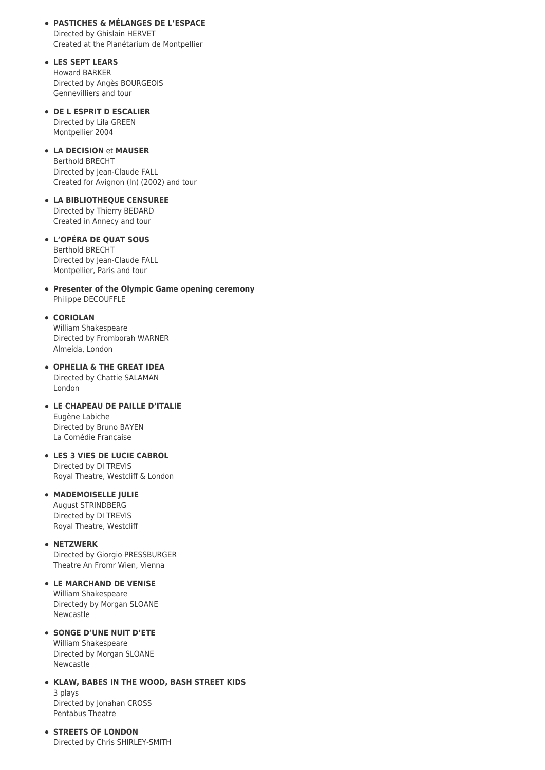- **PASTICHES & MÉLANGES DE L'ESPACE** Directed by Ghislain HERVET Created at the Planétarium de Montpellier
- **LES SEPT LEARS** Howard BARKER Directed by Angès BOURGEOIS Gennevilliers and tour
- **DE L ESPRIT D ESCALIER** Directed by Lila GREEN Montpellier 2004
- **LA DECISION** et **MAUSER** Berthold BRECHT Directed by Jean-Claude FALL Created for Avignon (In) (2002) and tour
- **LA BIBLIOTHEQUE CENSUREE** Directed by Thierry BEDARD Created in Annecy and tour
- **L'OPÉRA DE QUAT SOUS** Berthold BRECHT Directed by Jean-Claude FALL Montpellier, Paris and tour
- **Presenter of the Olympic Game opening ceremony** Philippe DECOUFFLE
- **CORIOLAN**

William Shakespeare Directed by Fromborah WARNER Almeida, London

- **OPHELIA & THE GREAT IDEA** Directed by Chattie SALAMAN London
- **LE CHAPEAU DE PAILLE D'ITALIE** Eugène Labiche Directed by Bruno BAYEN La Comédie Française
- **LES 3 VIES DE LUCIE CABROL** Directed by DI TREVIS Royal Theatre, Westcliff & London
- **MADEMOISELLE JULIE** August STRINDBERG Directed by DI TREVIS Royal Theatre, Westcliff

**NETZWERK** Directed by Giorgio PRESSBURGER Theatre An Fromr Wien, Vienna

- **LE MARCHAND DE VENISE** William Shakespeare Directedy by Morgan SLOANE Newcastle
- **SONGE D'UNE NUIT D'ETE** William Shakespeare Directed by Morgan SLOANE Newcastle
- **KLAW, BABES IN THE WOOD, BASH STREET KIDS** 3 plays Directed by Jonahan CROSS Pentabus Theatre
- **STREETS OF LONDON** Directed by Chris SHIRLEY-SMITH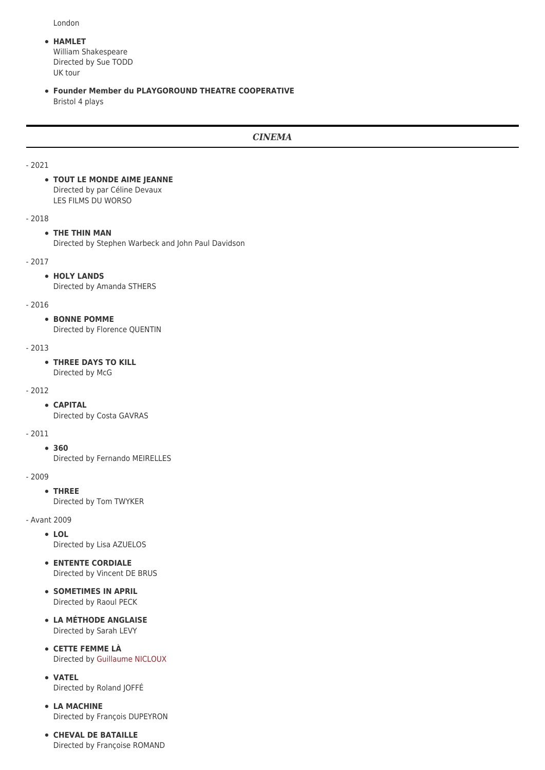London

**HAMLET**

William Shakespeare Directed by Sue TODD UK tour

**Founder Member du PLAYGOROUND THEATRE COOPERATIVE** Bristol 4 plays

# *CINEMA*

- 2021

**TOUT LE MONDE AIME JEANNE** Directed by par Céline Devaux LES FILMS DU WORSO

- 2018

#### **THE THIN MAN**

Directed by Stephen Warbeck and John Paul Davidson

#### - 2017

**HOLY LANDS**

Directed by Amanda STHERS

#### - 2016

**• BONNE POMME** 

Directed by Florence QUENTIN

### - 2013

# **THREE DAYS TO KILL**

Directed by McG

### - 2012

**CAPITAL**

Directed by Costa GAVRAS

#### - 2011

**360** Directed by Fernando MEIRELLES

#### - 2009

### **THREE**

Directed by Tom TWYKER

- Avant 2009

**LOL** Directed by Lisa AZUELOS

- **ENTENTE CORDIALE** Directed by Vincent DE BRUS
- **SOMETIMES IN APRIL** Directed by Raoul PECK
- **LA MÉTHODE ANGLAISE** Directed by Sarah LEVY
- **CETTE FEMME LÀ** Directed by [Guillaume NICLOUX](https://www.winckelmuller.com/Nicloux.html)
- **VATEL** Directed by Roland JOFFÉ
- **LA MACHINE** Directed by François DUPEYRON
- **CHEVAL DE BATAILLE** Directed by Françoise ROMAND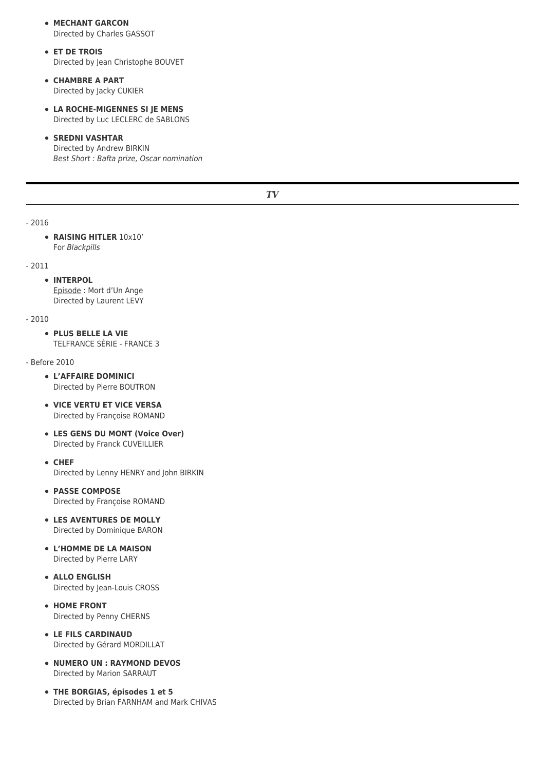- **MECHANT GARCON** Directed by Charles GASSOT
- **ET DE TROIS** Directed by Jean Christophe BOUVET
- **CHAMBRE A PART** Directed by Jacky CUKIER
- **LA ROCHE-MIGENNES SI JE MENS** Directed by Luc LECLERC de SABLONS

## **• SREDNI VASHTAR**

Directed by Andrew BIRKIN Best Short : Bafta prize, Oscar nomination

- 2016

#### **RAISING HITLER** 10x10' For Blackpills

#### - 2011

### **INTERPOL**

Episode : Mort d'Un Ange Directed by Laurent LEVY

- 2010

**PLUS BELLE LA VIE** TELFRANCE SÉRIE - FRANCE 3

- Before 2010

- **L'AFFAIRE DOMINICI** Directed by Pierre BOUTRON
- **VICE VERTU ET VICE VERSA** Directed by Françoise ROMAND
- **LES GENS DU MONT (Voice Over)** Directed by Franck CUVEILLIER
- **CHEF** Directed by Lenny HENRY and John BIRKIN
- **PASSE COMPOSE** Directed by Françoise ROMAND
- **LES AVENTURES DE MOLLY** Directed by Dominique BARON
- **L'HOMME DE LA MAISON** Directed by Pierre LARY
- **ALLO ENGLISH** Directed by Jean-Louis CROSS
- **HOME FRONT** Directed by Penny CHERNS
- **LE FILS CARDINAUD** Directed by Gérard MORDILLAT
- $\bullet$  **NUMERO UN : RAYMOND DEVOS** Directed by Marion SARRAUT
- **THE BORGIAS, épisodes 1 et 5** Directed by Brian FARNHAM and Mark CHIVAS